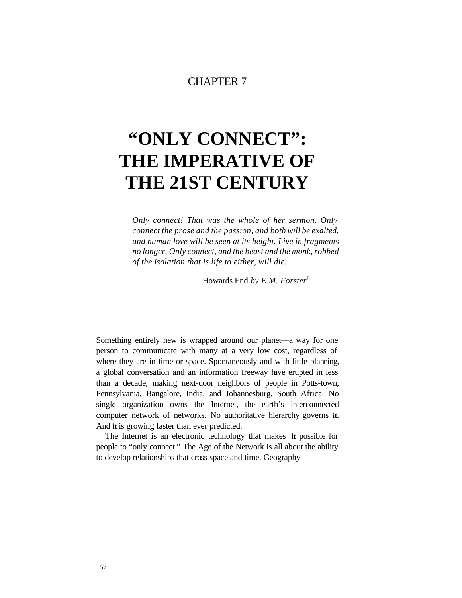# CHAPTER 7

# **"ONLY CONNECT": THE IMPERATIVE OF THE 21ST CENTURY**

*Only connect! That was the whole of her sermon. Only connect the prose and the passion, and both will be exalted, and human love will be seen at its height. Live in fragments no longer. Only connect, and the beast and the monk, robbed of the isolation that is life to either, will die.*

Howards End *by E.M. Forster<sup>1</sup>*

Something entirely new is wrapped around our planet—a way for one person to communicate with many at a very low cost, regardless of where they are in time or space. Spontaneously and with little planning, a global conversation and an information freeway have erupted in less than a decade, making next-door neighbors of people in Potts-town, Pennsylvania, Bangalore, India, and Johannesburg, South Africa. No single organization owns the Internet, the earth's interconnected computer network of networks. No authoritative hierarchy governs **it.**  And **it** is growing faster than ever predicted.

The Internet is an electronic technology that makes **it** possible for people to "only connect." The Age of the Network is all about the ability to develop relationships that cross space and time. Geography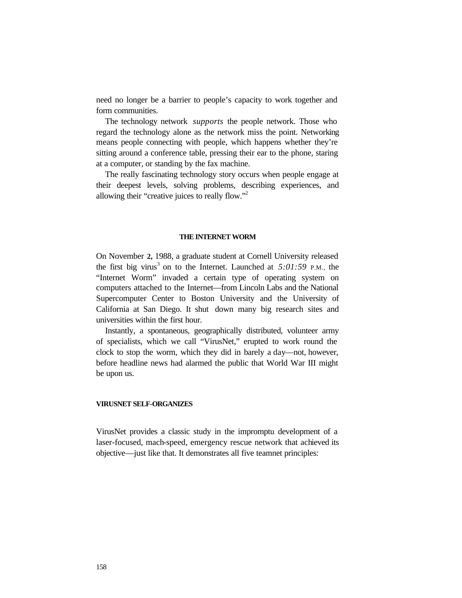need no longer be a barrier to people's capacity to work together and form communities.

The technology network *supports* the people network. Those who regard the technology alone as the network miss the point. Networking means people connecting with people, which happens whether they're sitting around a conference table, pressing their ear to the phone, staring at a computer, or standing by the fax machine.

The really fascinating technology story occurs when people engage at their deepest levels, solving problems, describing experiences, and allowing their "creative juices to really flow."<sup>2</sup>

# **THE INTERNET WORM**

On November **2,** 1988, a graduate student at Cornell University released the first big virus<sup>3</sup> on to the Internet. Launched at  $5:01:59$  P.M., the "Internet Worm" invaded a certain type of operating system on computers attached to the Internet—from Lincoln Labs and the National Supercomputer Center to Boston University and the University of California at San Diego. It shut down many big research sites and universities within the first hour.

Instantly, a spontaneous, geographically distributed, volunteer army of specialists, which we call "VirusNet," erupted to work round the clock to stop the worm, which they did in barely a day—not, however, before headline news had alarmed the public that World War III might be upon us.

#### **VIRUSNET SELF-ORGANIZES**

VirusNet provides a classic study in the impromptu development of a laser-focused, mach-speed, emergency rescue network that achieved its objective—just like that. It demonstrates all five teamnet principles: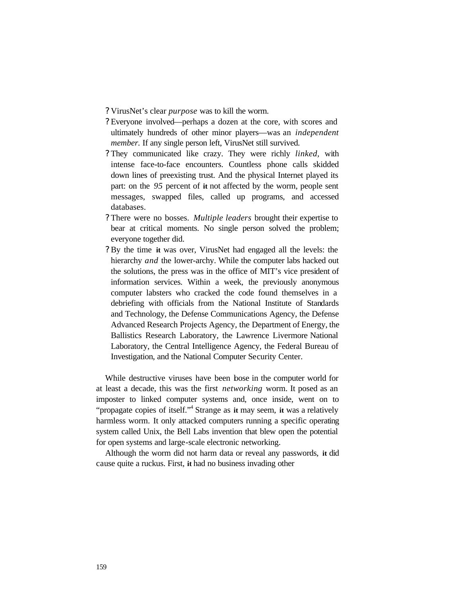- ? VirusNet's clear *purpose* was to kill the worm.
- ? Everyone involved—perhaps a dozen at the core, with scores and ultimately hundreds of other minor players—was an *independent member.* If any single person left, VirusNet still survived.
- ? They communicated like crazy. They were richly *linked,* with intense face-to-face encounters. Countless phone calls skidded down lines of preexisting trust. And the physical Internet played its part: on the *95* percent of **it** not affected by the worm, people sent messages, swapped files, called up programs, and accessed databases.
- ? There were no bosses. *Multiple leaders* brought their expertise to bear at critical moments. No single person solved the problem; everyone together did.
- ? By the time **it** was over, VirusNet had engaged all the levels: the hierarchy *and* the lower-archy. While the computer labs hacked out the solutions, the press was in the office of MIT's vice president of information services. Within a week, the previously anonymous computer labsters who cracked the code found themselves in a debriefing with officials from the National Institute of Standards and Technology, the Defense Communications Agency, the Defense Advanced Research Projects Agency, the Department of Energy, the Ballistics Research Laboratory, the Lawrence Livermore National Laboratory, the Central Intelligence Agency, the Federal Bureau of Investigation, and the National Computer Security Center.

While destructive viruses have been loose in the computer world for at least a decade, this was the first *networking* worm. It posed as an imposter to linked computer systems and, once inside, went on to "propagate copies of itself."<sup>4</sup>Strange as **it** may seem, **it** was a relatively harmless worm. It only attacked computers running a specific operating system called Unix, the Bell Labs invention that blew open the potential for open systems and large-scale electronic networking.

Although the worm did not harm data or reveal any passwords, **it** did cause quite a ruckus. First, **it** had no business invading other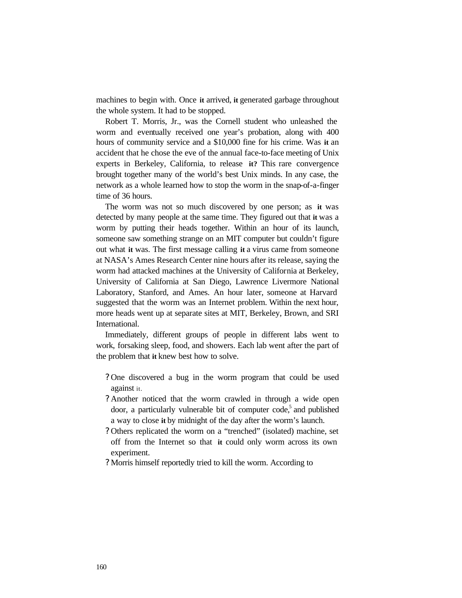machines to begin with. Once **it** arrived, **it** generated garbage throughout the whole system. It had to be stopped.

Robert T. Morris, Jr., was the Cornell student who unleashed the worm and eventually received one year's probation, along with 400 hours of community service and a \$10,000 fine for his crime. Was **it** an accident that he chose the eve of the annual face-to-face meeting of Unix experts in Berkeley, California, to release **it?** This rare convergence brought together many of the world's best Unix minds. In any case, the network as a whole learned how to stop the worm in the snap-of-a-finger time of 36 hours.

The worm was not so much discovered by one person; as **it** was detected by many people at the same time. They figured out that **it** was a worm by putting their heads together. Within an hour of its launch, someone saw something strange on an MIT computer but couldn't figure out what **it** was. The first message calling **it** a virus came from someone at NASA's Ames Research Center nine hours after its release, saying the worm had attacked machines at the University of California at Berkeley, University of California at San Diego, Lawrence Livermore National Laboratory, Stanford, and Ames. An hour later, someone at Harvard suggested that the worm was an Internet problem. Within the next hour, more heads went up at separate sites at MIT, Berkeley, Brown, and SRI International.

Immediately, different groups of people in different labs went to work, forsaking sleep, food, and showers. Each lab went after the part of the problem that **it** knew best how to solve.

- ? One discovered a bug in the worm program that could be used against it.
- ? Another noticed that the worm crawled in through a wide open door, a particularly vulnerable bit of computer code,<sup>5</sup> and published a way to close **it** by midnight of the day after the worm's launch.
- ? Others replicated the worm on a "trenched" (isolated) machine, set off from the Internet so that **it** could only worm across its own experiment.
- ? Morris himself reportedly tried to kill the worm. According to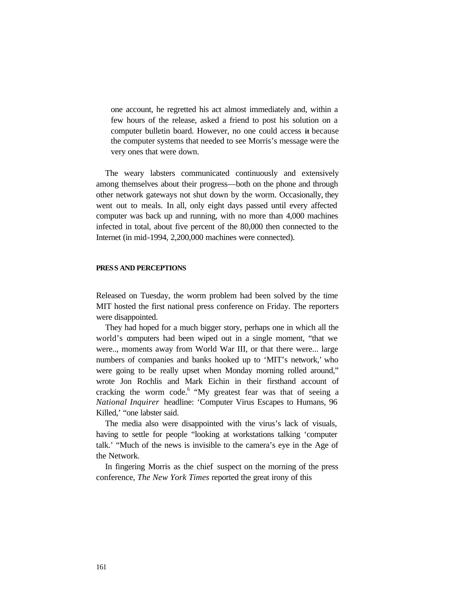one account, he regretted his act almost immediately and, within a few hours of the release, asked a friend to post his solution on a computer bulletin board. However, no one could access **it** because the computer systems that needed to see Morris's message were the very ones that were down.

The weary labsters communicated continuously and extensively among themselves about their progress—both on the phone and through other network gateways not shut down by the worm. Occasionally, they went out to meals. In all, only eight days passed until every affected computer was back up and running, with no more than 4,000 machines infected in total, about five percent of the 80,000 then connected to the Internet (in mid-1994, 2,200,000 machines were connected).

#### **PRESS AND PERCEPTIONS**

Released on Tuesday, the worm problem had been solved by the time MIT hosted the first national press conference on Friday. The reporters were disappointed.

They had hoped for a much bigger story, perhaps one in which all the world's computers had been wiped out in a single moment, "that we were.., moments away from World War III, or that there were... large numbers of companies and banks hooked up to 'MIT's network,' who were going to be really upset when Monday morning rolled around," wrote Jon Rochlis and Mark Eichin in their firsthand account of cracking the worm code.<sup>6</sup> "My greatest fear was that of seeing a *National Inquirer* headline: 'Computer Virus Escapes to Humans, 96 Killed,' "one labster said.

The media also were disappointed with the virus's lack of visuals, having to settle for people "looking at workstations talking 'computer talk.' "Much of the news is invisible to the camera's eye in the Age of the Network.

In fingering Morris as the chief suspect on the morning of the press conference, *The New York Times* reported the great irony of this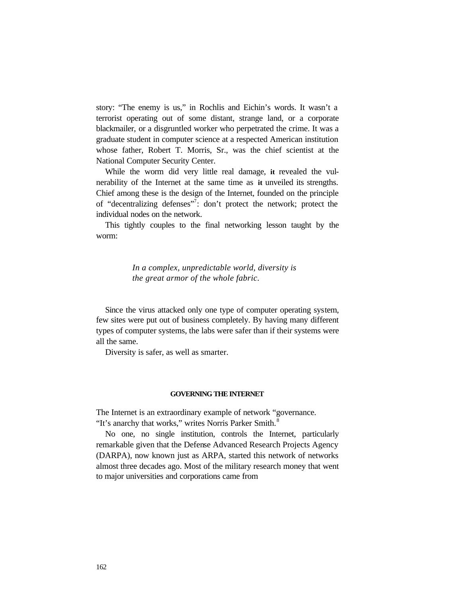story: "The enemy is us," in Rochlis and Eichin's words. It wasn't a terrorist operating out of some distant, strange land, or a corporate blackmailer, or a disgruntled worker who perpetrated the crime. It was a graduate student in computer science at a respected American institution whose father, Robert T. Morris, Sr., was the chief scientist at the National Computer Security Center.

While the worm did very little real damage, **it** revealed the vulnerability of the Internet at the same time as **it** unveiled its strengths. Chief among these is the design of the Internet, founded on the principle of "decentralizing defenses"<sup>7</sup>: don't protect the network; protect the individual nodes on the network.

This tightly couples to the final networking lesson taught by the worm:

> *In a complex, unpredictable world, diversity is the great armor of the whole fabric.*

Since the virus attacked only one type of computer operating system, few sites were put out of business completely. By having many different types of computer systems, the labs were safer than if their systems were all the same.

Diversity is safer, as well as smarter.

#### **GOVERNING THE INTERNET**

The Internet is an extraordinary example of network "governance. "It's anarchy that works," writes Norris Parker Smith.<sup>8</sup>

No one, no single institution, controls the Internet, particularly remarkable given that the Defense Advanced Research Projects Agency (DARPA), now known just as ARPA, started this network of networks almost three decades ago. Most of the military research money that went to major universities and corporations came from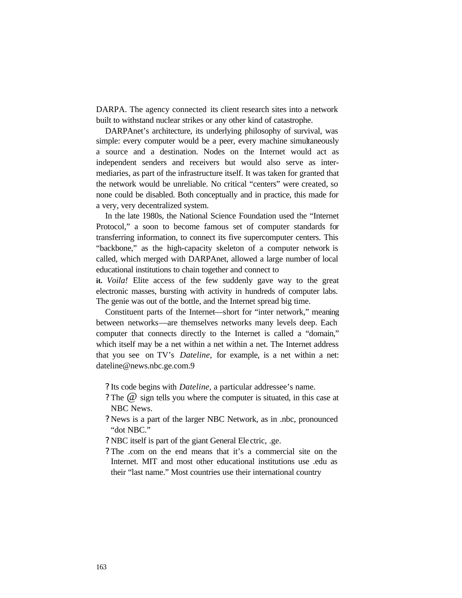DARPA. The agency connected its client research sites into a network built to withstand nuclear strikes or any other kind of catastrophe.

DARPAnet's architecture, its underlying philosophy of survival, was simple: every computer would be a peer, every machine simultaneously a source and a destination. Nodes on the Internet would act as independent senders and receivers but would also serve as intermediaries, as part of the infrastructure itself. It was taken for granted that the network would be unreliable. No critical "centers" were created, so none could be disabled. Both conceptually and in practice, this made for a very, very decentralized system.

In the late 1980s, the National Science Foundation used the "Internet Protocol," a soon to become famous set of computer standards for transferring information, to connect its five supercomputer centers. This "backbone," as the high-capacity skeleton of a computer network is called, which merged with DARPAnet, allowed a large number of local educational institutions to chain together and connect to

**it.** *Voila!* Elite access of the few suddenly gave way to the great electronic masses, bursting with activity in hundreds of computer labs. The genie was out of the bottle, and the Internet spread big time.

Constituent parts of the Internet—short for "inter network," meaning between networks—are themselves networks many levels deep. Each computer that connects directly to the Internet is called a "domain," which itself may be a net within a net within a net. The Internet address that you see on TV's *Dateline,* for example, is a net within a net: dateline@news.nbc.ge.com.9

- ? Its code begins with *Dateline,* a particular addressee's name.
- ? The @ sign tells you where the computer is situated, in this case at NBC News.
- ? News is a part of the larger NBC Network, as in .nbc, pronounced "dot NBC."
- ? NBC itself is part of the giant General Ele ctric, .ge.
- ? The .com on the end means that it's a commercial site on the Internet. MIT and most other educational institutions use .edu as their "last name." Most countries use their international country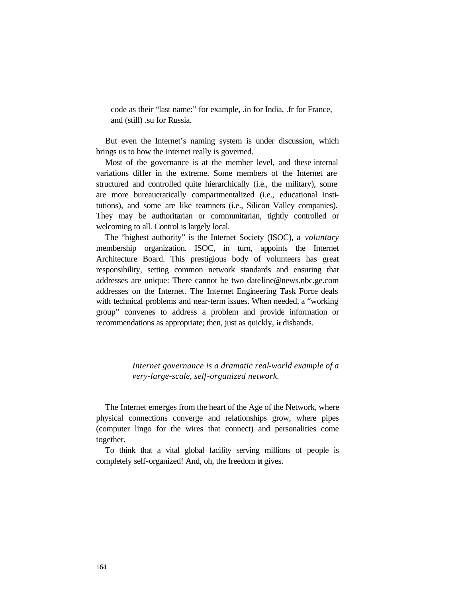code as their "last name:" for example, .in for India, .fr for France, and (still) .su for Russia.

But even the Internet's naming system is under discussion, which brings us to how the Internet really is governed.

Most of the governance is at the member level, and these internal variations differ in the extreme. Some members of the Internet are structured and controlled quite hierarchically (i.e., the military), some are more bureaucratically compartmentalized (i.e., educational institutions), and some are like teamnets (i.e., Silicon Valley companies). They may be authoritarian or communitarian, tightly controlled or welcoming to all. Control is largely local.

The "highest authority" is the Internet Society (ISOC), a *voluntary*  membership organization. ISOC, in turn, appoints the Internet Architecture Board. This prestigious body of volunteers has great responsibility, setting common network standards and ensuring that addresses are unique: There cannot be two dateline@news.nbc.ge.com addresses on the Internet. The Internet Engineering Task Force deals with technical problems and near-term issues. When needed, a "working group" convenes to address a problem and provide information or recommendations as appropriate; then, just as quickly, **it** disbands.

> *Internet governance is a dramatic real-world example of a very-large-scale, self-organized network.*

The Internet emerges from the heart of the Age of the Network, where physical connections converge and relationships grow, where pipes (computer lingo for the wires that connect) and personalities come together.

To think that a vital global facility serving millions of people is completely self-organized! And, oh, the freedom **it** gives.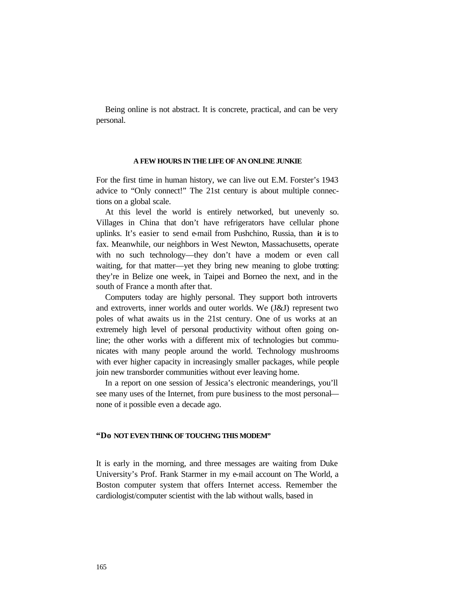Being online is not abstract. It is concrete, practical, and can be very personal.

#### **A FEW HOURS IN THE LIFE OF AN ONLINE JUNKIE**

For the first time in human history, we can live out E.M. Forster's 1943 advice to "Only connect!" The 21st century is about multiple connections on a global scale.

At this level the world is entirely networked, but unevenly so. Villages in China that don't have refrigerators have cellular phone uplinks. It's easier to send e-mail from Pushchino, Russia, than **it** is to fax. Meanwhile, our neighbors in West Newton, Massachusetts, operate with no such technology—they don't have a modem or even call waiting, for that matter—yet they bring new meaning to globe trotting: they're in Belize one week, in Taipei and Borneo the next, and in the south of France a month after that.

Computers today are highly personal. They support both introverts and extroverts, inner worlds and outer worlds. We (J&J) represent two poles of what awaits us in the 21st century. One of us works at an extremely high level of personal productivity without often going online; the other works with a different mix of technologies but communicates with many people around the world. Technology mushrooms with ever higher capacity in increasingly smaller packages, while people join new transborder communities without ever leaving home.

In a report on one session of Jessica's electronic meanderings, you'll see many uses of the Internet, from pure business to the most personal none of it possible even a decade ago.

# **"Do NOT EVEN THINK OF TOUCHNG THIS MODEM"**

It is early in the morning, and three messages are waiting from Duke University's Prof. Frank Starmer in my e-mail account on The World, a Boston computer system that offers Internet access. Remember the cardiologist/computer scientist with the lab without walls, based in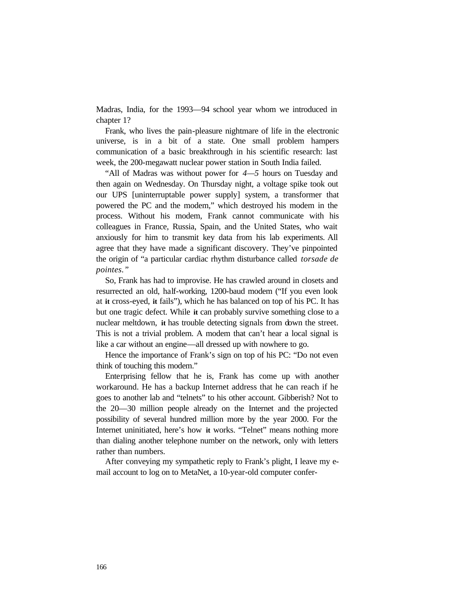Madras, India, for the 1993—94 school year whom we introduced in chapter 1?

Frank, who lives the pain-pleasure nightmare of life in the electronic universe, is in a bit of a state. One small problem hampers communication of a basic breakthrough in his scientific research: last week, the 200-megawatt nuclear power station in South India failed.

"All of Madras was without power for *4—5* hours on Tuesday and then again on Wednesday. On Thursday night, a voltage spike took out our UPS [uninterruptable power supply] system, a transformer that powered the PC and the modem," which destroyed his modem in the process. Without his modem, Frank cannot communicate with his colleagues in France, Russia, Spain, and the United States, who wait anxiously for him to transmit key data from his lab experiments. All agree that they have made a significant discovery. They've pinpointed the origin of "a particular cardiac rhythm disturbance called *torsade de pointes."*

So, Frank has had to improvise. He has crawled around in closets and resurrected an old, half-working, 1200-baud modem ("If you even look at **it** cross-eyed, **it** fails"), which he has balanced on top of his PC. It has but one tragic defect. While **it** can probably survive something close to a nuclear meltdown, **it** has trouble detecting signals from down the street. This is not a trivial problem. A modem that can't hear a local signal is like a car without an engine—all dressed up with nowhere to go.

Hence the importance of Frank's sign on top of his PC: "Do not even think of touching this modem."

Enterprising fellow that he is, Frank has come up with another workaround. He has a backup Internet address that he can reach if he goes to another lab and "telnets" to his other account. Gibberish? Not to the 20—30 million people already on the Internet and the projected possibility of several hundred million more by the year 2000. For the Internet uninitiated, here's how **it** works. "Telnet" means nothing more than dialing another telephone number on the network, only with letters rather than numbers.

After conveying my sympathetic reply to Frank's plight, I leave my email account to log on to MetaNet, a 10-year-old computer confer-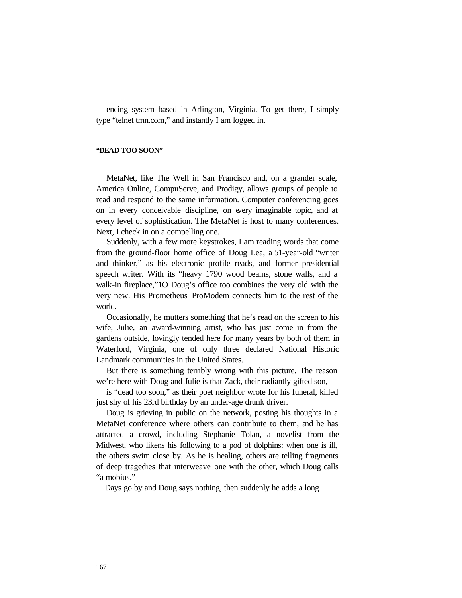encing system based in Arlington, Virginia. To get there, I simply type "telnet tmn.com," and instantly I am logged in.

# **"DEAD TOO SOON"**

MetaNet, like The Well in San Francisco and, on a grander scale, America Online, CompuServe, and Prodigy, allows groups of people to read and respond to the same information. Computer conferencing goes on in every conceivable discipline, on every imaginable topic, and at every level of sophistication. The MetaNet is host to many conferences. Next, I check in on a compelling one.

Suddenly, with a few more keystrokes, I am reading words that come from the ground-floor home office of Doug Lea, a 51-year-old "writer and thinker," as his electronic profile reads, and former presidential speech writer. With its "heavy 1790 wood beams, stone walls, and a walk-in fireplace,"1O Doug's office too combines the very old with the very new. His Prometheus ProModem connects him to the rest of the world.

Occasionally, he mutters something that he's read on the screen to his wife, Julie, an award-winning artist, who has just come in from the gardens outside, lovingly tended here for many years by both of them in Waterford, Virginia, one of only three declared National Historic Landmark communities in the United States.

But there is something terribly wrong with this picture. The reason we're here with Doug and Julie is that Zack, their radiantly gifted son,

is "dead too soon," as their poet neighbor wrote for his funeral, killed just shy of his 23rd birthday by an under-age drunk driver.

Doug is grieving in public on the network, posting his thoughts in a MetaNet conference where others can contribute to them, and he has attracted a crowd, including Stephanie Tolan, a novelist from the Midwest, who likens his following to a pod of dolphins: when one is ill, the others swim close by. As he is healing, others are telling fragments of deep tragedies that interweave one with the other, which Doug calls "a mobius."

Days go by and Doug says nothing, then suddenly he adds a long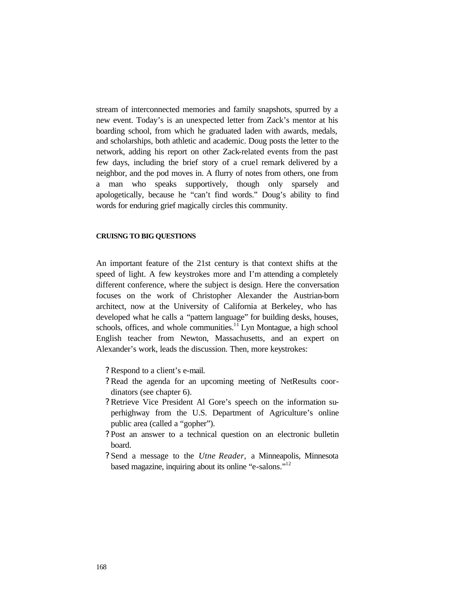stream of interconnected memories and family snapshots, spurred by a new event. Today's is an unexpected letter from Zack's mentor at his boarding school, from which he graduated laden with awards, medals, and scholarships, both athletic and academic. Doug posts the letter to the network, adding his report on other Zack-related events from the past few days, including the brief story of a cruel remark delivered by a neighbor, and the pod moves in. A flurry of notes from others, one from a man who speaks supportively, though only sparsely and apologetically, because he "can't find words." Doug's ability to find words for enduring grief magically circles this community.

# **CRUISNG TO BIG QUESTIONS**

An important feature of the 21st century is that context shifts at the speed of light. A few keystrokes more and I'm attending a completely different conference, where the subject is design. Here the conversation focuses on the work of Christopher Alexander the Austrian-born architect, now at the University of California at Berkeley, who has developed what he calls a "pattern language" for building desks, houses, schools, offices, and whole communities. $11$  Lyn Montague, a high school English teacher from Newton, Massachusetts, and an expert on Alexander's work, leads the discussion. Then, more keystrokes:

- ? Respond to a client's e-mail.
- ? Read the agenda for an upcoming meeting of NetResults coordinators (see chapter 6).
- ? Retrieve Vice President Al Gore's speech on the information superhighway from the U.S. Department of Agriculture's online public area (called a "gopher").
- ? Post an answer to a technical question on an electronic bulletin board.
- ? Send a message to the *Utne Reader,* a Minneapolis, Minnesota based magazine, inquiring about its online "e-salons."<sup>12</sup>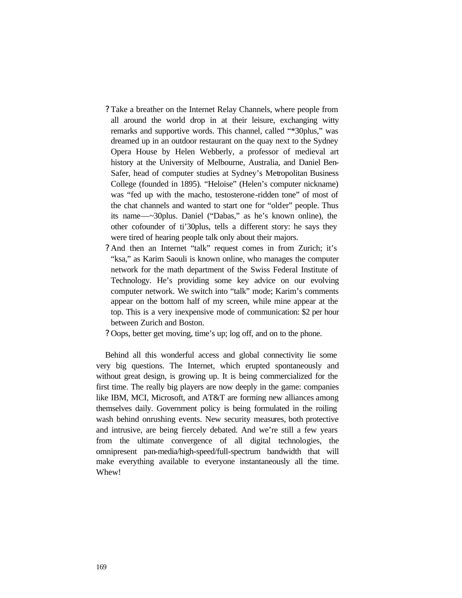- ? Take a breather on the Internet Relay Channels, where people from all around the world drop in at their leisure, exchanging witty remarks and supportive words. This channel, called "\*30plus," was dreamed up in an outdoor restaurant on the quay next to the Sydney Opera House by Helen Webberly, a professor of medieval art history at the University of Melbourne, Australia, and Daniel Ben-Safer, head of computer studies at Sydney's Metropolitan Business College (founded in 1895). "Heloise" (Helen's computer nickname) was "fed up with the macho, testosterone-ridden tone" of most of the chat channels and wanted to start one for "older" people. Thus its name—~30plus. Daniel ("Dabas," as he's known online), the other cofounder of ti'30plus, tells a different story: he says they were tired of hearing people talk only about their majors.
- ? And then an Internet "talk" request comes in from Zurich; it's "ksa," as Karim Saouli is known online, who manages the computer network for the math department of the Swiss Federal Institute of Technology. He's providing some key advice on our evolving computer network. We switch into "talk" mode; Karim's comments appear on the bottom half of my screen, while mine appear at the top. This is a very inexpensive mode of communication: \$2 per hour between Zurich and Boston.
- ? Oops, better get moving, time's up; log off, and on to the phone.

Behind all this wonderful access and global connectivity lie some very big questions. The Internet, which erupted spontaneously and without great design, is growing up. It is being commercialized for the first time. The really big players are now deeply in the game: companies like IBM, MCI, Microsoft, and AT&T are forming new alliances among themselves daily. Government policy is being formulated in the roiling wash behind onrushing events. New security measures, both protective and intrusive, are being fiercely debated. And we're still a few years from the ultimate convergence of all digital technologies, the omnipresent pan-media/high-speed/full-spectrum bandwidth that will make everything available to everyone instantaneously all the time. Whew!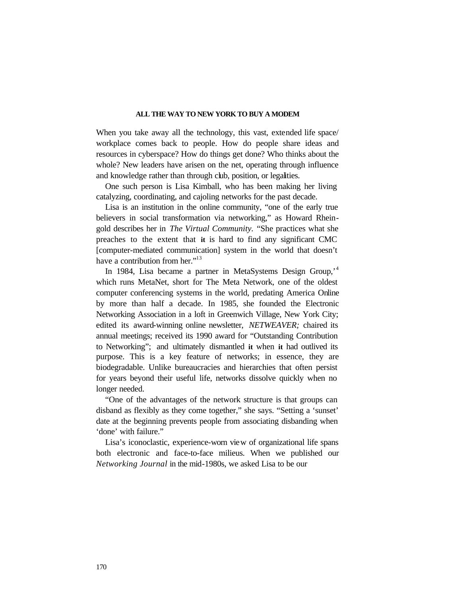#### **ALL THE WAY TO NEW YORK TO BUY A MODEM**

When you take away all the technology, this vast, extended life space/ workplace comes back to people. How do people share ideas and resources in cyberspace? How do things get done? Who thinks about the whole? New leaders have arisen on the net, operating through influence and knowledge rather than through club, position, or legalities.

One such person is Lisa Kimball, who has been making her living catalyzing, coordinating, and cajoling networks for the past decade.

Lisa is an institution in the online community, "one of the early true believers in social transformation via networking," as Howard Rheingold describes her in *The Virtual Community.* "She practices what she preaches to the extent that **it** is hard to find any significant CMC [computer-mediated communication] system in the world that doesn't have a contribution from her."<sup>13</sup>

In 1984, Lisa became a partner in MetaSystems Design Group,<sup>4</sup> which runs MetaNet, short for The Meta Network, one of the oldest computer conferencing systems in the world, predating America Online by more than half a decade. In 1985, she founded the Electronic Networking Association in a loft in Greenwich Village, New York City; edited its award-winning online newsletter, *NETWEAVER;* chaired its annual meetings; received its 1990 award for "Outstanding Contribution to Networking"; and ultimately dismantled **it** when **it** had outlived its purpose. This is a key feature of networks; in essence, they are biodegradable. Unlike bureaucracies and hierarchies that often persist for years beyond their useful life, networks dissolve quickly when no longer needed.

"One of the advantages of the network structure is that groups can disband as flexibly as they come together," she says. "Setting a 'sunset' date at the beginning prevents people from associating disbanding when 'done' with failure."

Lisa's iconoclastic, experience-worn view of organizational life spans both electronic and face-to-face milieus. When we published our *Networking Journal* in the mid-1980s, we asked Lisa to be our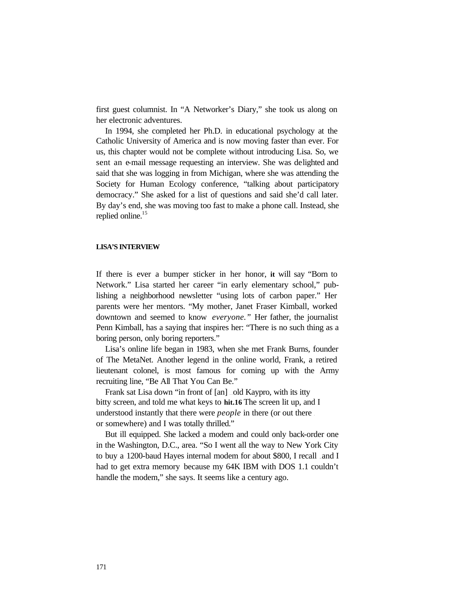first guest columnist. In "A Networker's Diary," she took us along on her electronic adventures.

In 1994, she completed her Ph.D. in educational psychology at the Catholic University of America and is now moving faster than ever. For us, this chapter would not be complete without introducing Lisa. So, we sent an e-mail message requesting an interview. She was delighted and said that she was logging in from Michigan, where she was attending the Society for Human Ecology conference, "talking about participatory democracy." She asked for a list of questions and said she'd call later. By day's end, she was moving too fast to make a phone call. Instead, she replied online. $15$ 

#### **LISA'S INTERVIEW**

If there is ever a bumper sticker in her honor, **it** will say "Born to Network." Lisa started her career "in early elementary school," publishing a neighborhood newsletter "using lots of carbon paper." Her parents were her mentors. "My mother, Janet Fraser Kimball, worked downtown and seemed to know *everyone."* Her father, the journalist Penn Kimball, has a saying that inspires her: "There is no such thing as a boring person, only boring reporters."

Lisa's online life began in 1983, when she met Frank Burns, founder of The MetaNet. Another legend in the online world, Frank, a retired lieutenant colonel, is most famous for coming up with the Army recruiting line, "Be All That You Can Be."

Frank sat Lisa down "in front of [an] ...old Kaypro, with its itty bitty screen, and told me what keys to **hit.16** The screen lit up, and I understood instantly that there were *people* in there (or out there . or somewhere) and I was totally thrilled."

But ill equipped. She lacked a modem and could only back-order one in the Washington, D.C., area. "So I went all the way to New York City to buy a 1200-baud Hayes internal modem for about \$800, I recall and I had to get extra memory because my 64K IBM with DOS 1.1 couldn't handle the modem," she says. It seems like a century ago.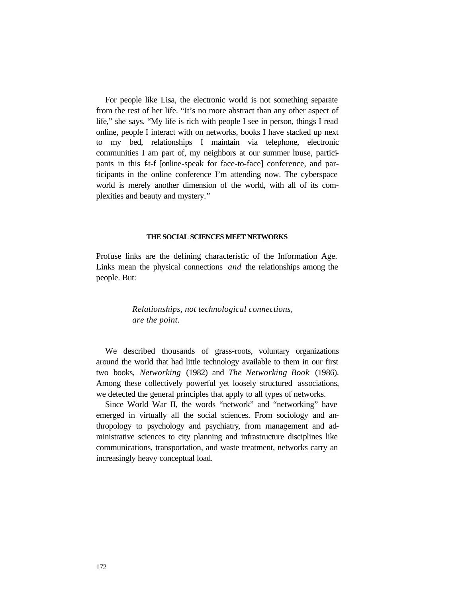For people like Lisa, the electronic world is not something separate from the rest of her life. "It's no more abstract than any other aspect of life," she says. "My life is rich with people I see in person, things I read online, people I interact with on networks, books I have stacked up next to my bed, relationships I maintain via telephone, electronic communities I am part of, my neighbors at our summer house, participants in this  $ft-f$  [online-speak for face-to-face] conference, and participants in the online conference I'm attending now. The cyberspace world is merely another dimension of the world, with all of its complexities and beauty and mystery."

#### **THE SOCIAL SCIENCES MEET NETWORKS**

Profuse links are the defining characteristic of the Information Age. Links mean the physical connections *and* the relationships among the people. But:

# *Relationships, not technological connections, are the point.*

We described thousands of grass-roots, voluntary organizations around the world that had little technology available to them in our first two books, *Networking* (1982) and *The Networking Book* (1986). Among these collectively powerful yet loosely structured associations, we detected the general principles that apply to all types of networks.

Since World War II, the words "network" and "networking" have emerged in virtually all the social sciences. From sociology and anthropology to psychology and psychiatry, from management and administrative sciences to city planning and infrastructure disciplines like communications, transportation, and waste treatment, networks carry an increasingly heavy conceptual load.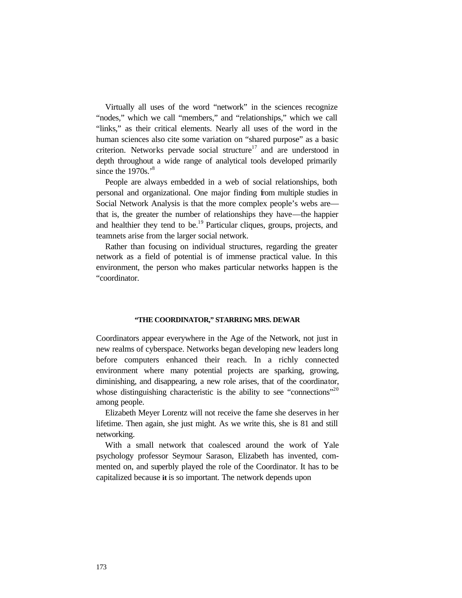Virtually all uses of the word "network" in the sciences recognize "nodes," which we call "members," and "relationships," which we call "links," as their critical elements. Nearly all uses of the word in the human sciences also cite some variation on "shared purpose" as a basic criterion. Networks pervade social structure<sup>17</sup> and are understood in depth throughout a wide range of analytical tools developed primarily since the 1970s.'<sup>8</sup>

People are always embedded in a web of social relationships, both personal and organizational. One major finding from multiple studies in Social Network Analysis is that the more complex people's webs are that is, the greater the number of relationships they have—the happier and healthier they tend to be.<sup>19</sup> Particular cliques, groups, projects, and teamnets arise from the larger social network.

Rather than focusing on individual structures, regarding the greater network as a field of potential is of immense practical value. In this environment, the person who makes particular networks happen is the "coordinator.

# **"THE COORDINATOR," STARRING MRS. DEWAR**

Coordinators appear everywhere in the Age of the Network, not just in new realms of cyberspace. Networks began developing new leaders long before computers enhanced their reach. In a richly connected environment where many potential projects are sparking, growing, diminishing, and disappearing, a new role arises, that of the coordinator, whose distinguishing characteristic is the ability to see "connections"<sup>20</sup> among people.

Elizabeth Meyer Lorentz will not receive the fame she deserves in her lifetime. Then again, she just might. As we write this, she is 81 and still networking.

With a small network that coalesced around the work of Yale psychology professor Seymour Sarason, Elizabeth has invented, commented on, and superbly played the role of the Coordinator. It has to be capitalized because **it** is so important. The network depends upon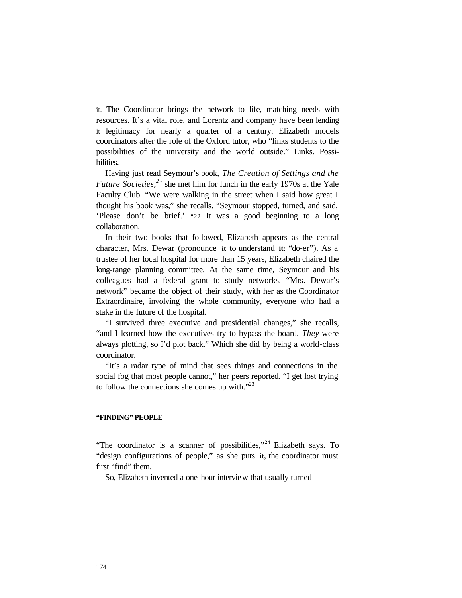it. The Coordinator brings the network to life, matching needs with resources. It's a vital role, and Lorentz and company have been lending it legitimacy for nearly a quarter of a century. Elizabeth models coordinators after the role of the Oxford tutor, who "links students to the possibilities of the university and the world outside." Links. Possibilities.

Having just read Seymour's book, *The Creation of Settings and the Future Societies*,<sup> $2$ </sup> she met him for lunch in the early 1970s at the Yale Faculty Club. "We were walking in the street when I said how great I thought his book was," she recalls. "Seymour stopped, turned, and said, 'Please don't be brief.' "22 It was a good beginning to a long collaboration.

In their two books that followed, Elizabeth appears as the central character, Mrs. Dewar (pronounce **it** to understand **it:** "do-er"). As a trustee of her local hospital for more than 15 years, Elizabeth chaired the long-range planning committee. At the same time, Seymour and his colleagues had a federal grant to study networks. "Mrs. Dewar's network" became the object of their study, with her as the Coordinator Extraordinaire, involving the whole community, everyone who had a stake in the future of the hospital.

"I survived three executive and presidential changes," she recalls, "and I learned how the executives try to bypass the board. *They* were always plotting, so I'd plot back." Which she did by being a world-class coordinator.

"It's a radar type of mind that sees things and connections in the social fog that most people cannot," her peers reported. "I get lost trying to follow the connections she comes up with."<sup>23</sup>

#### **"FINDING" PEOPLE**

"The coordinator is a scanner of possibilities,"<sup>24</sup> Elizabeth says. To "design configurations of people," as she puts **it,** the coordinator must first "find" them.

So, Elizabeth invented a one-hour interview that usually turned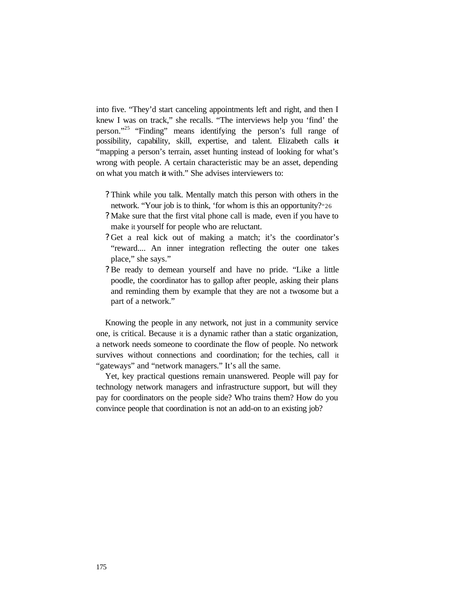into five. "They'd start canceling appointments left and right, and then I knew I was on track," she recalls. "The interviews help you 'find' the person."<sup>25</sup> "Finding" means identifying the person's full range of possibility, capability, skill, expertise, and talent. Elizabeth calls **it**  "mapping a person's terrain, asset hunting instead of looking for what's wrong with people. A certain characteristic may be an asset, depending on what you match **it** with." She advises interviewers to:

- ? Think while you talk. Mentally match this person with others in the network. "Your job is to think, 'for whom is this an opportunity?"26
- ? Make sure that the first vital phone call is made, even if you have to make it yourself for people who are reluctant.
- ? Get a real kick out of making a match; it's the coordinator's "reward.... An inner integration reflecting the outer one takes place," she says."
- ? Be ready to demean yourself and have no pride. "Like a little poodle, the coordinator has to gallop after people, asking their plans and reminding them by example that they are not a twosome but a part of a network."

Knowing the people in any network, not just in a community service one, is critical. Because it is a dynamic rather than a static organization, a network needs someone to coordinate the flow of people. No network survives without connections and coordination; for the techies, call it "gateways" and "network managers." It's all the same.

Yet, key practical questions remain unanswered. People will pay for technology network managers and infrastructure support, but will they pay for coordinators on the people side? Who trains them? How do you convince people that coordination is not an add-on to an existing job?